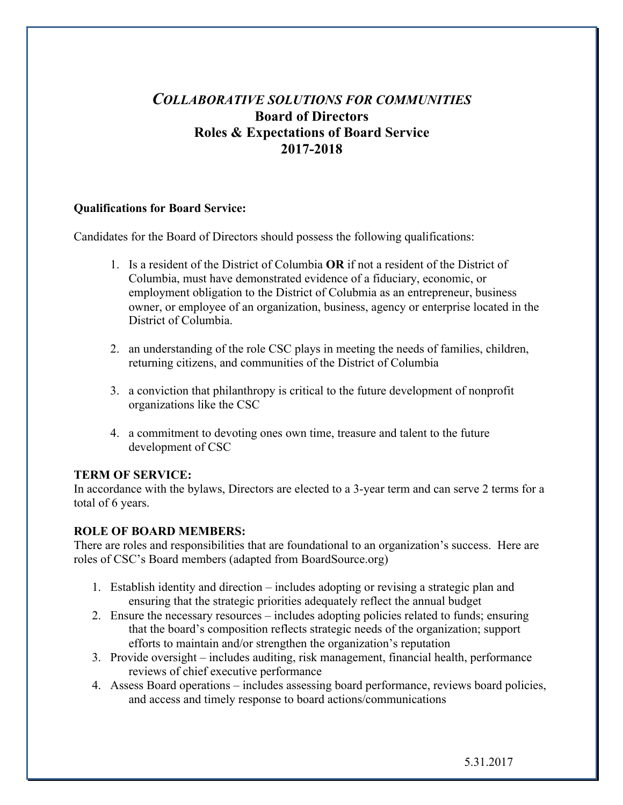# *COLLABORATIVE SOLUTIONS FOR COMMUNITIES* **Board of Directors Roles & Expectations of Board Service 2017-2018**

### **Qualifications for Board Service:**

Candidates for the Board of Directors should possess the following qualifications:

- 1. Is a resident of the District of Columbia **OR** if not a resident of the District of Columbia, must have demonstrated evidence of a fiduciary, economic, or employment obligation to the District of Colubmia as an entrepreneur, business owner, or employee of an organization, business, agency or enterprise located in the District of Columbia.
- 2. an understanding of the role CSC plays in meeting the needs of families, children, returning citizens, and communities of the District of Columbia
- 3. a conviction that philanthropy is critical to the future development of nonprofit organizations like the CSC
- 4. a commitment to devoting ones own time, treasure and talent to the future development of CSC

### **TERM OF SERVICE:**

In accordance with the bylaws, Directors are elected to a 3-year term and can serve 2 terms for a total of 6 years.

### **ROLE OF BOARD MEMBERS:**

There are roles and responsibilities that are foundational to an organization's success. Here are roles of CSC's Board members (adapted from BoardSource.org)

- 1. Establish identity and direction includes adopting or revising a strategic plan and ensuring that the strategic priorities adequately reflect the annual budget
- 2. Ensure the necessary resources includes adopting policies related to funds; ensuring that the board's composition reflects strategic needs of the organization; support efforts to maintain and/or strengthen the organization's reputation
- 3. Provide oversight includes auditing, risk management, financial health, performance reviews of chief executive performance
- 4. Assess Board operations includes assessing board performance, reviews board policies, and access and timely response to board actions/communications

5.31.2017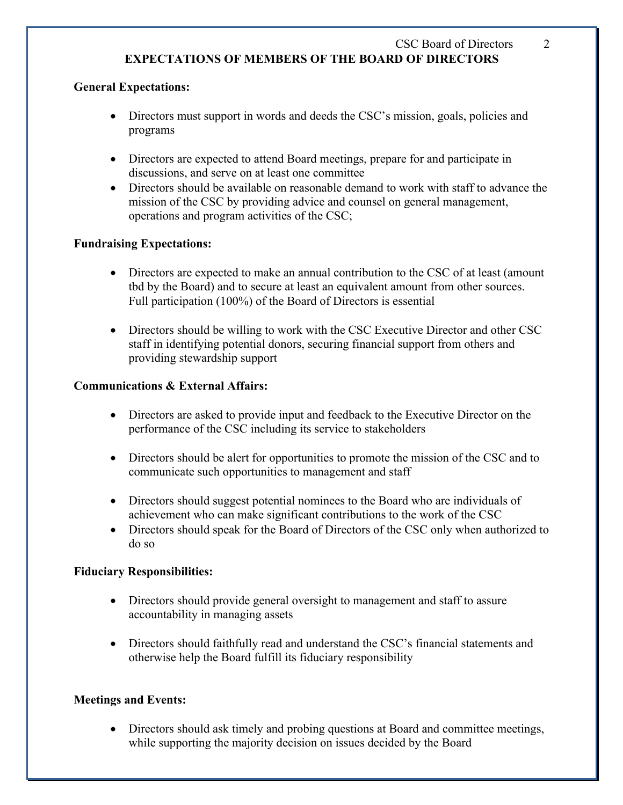## CSC Board of Directors 2 **EXPECTATIONS OF MEMBERS OF THE BOARD OF DIRECTORS**

### **General Expectations:**

- Directors must support in words and deeds the CSC's mission, goals, policies and programs
- Directors are expected to attend Board meetings, prepare for and participate in discussions, and serve on at least one committee
- Directors should be available on reasonable demand to work with staff to advance the mission of the CSC by providing advice and counsel on general management, operations and program activities of the CSC;

### **Fundraising Expectations:**

- Directors are expected to make an annual contribution to the CSC of at least (amount tbd by the Board) and to secure at least an equivalent amount from other sources. Full participation (100%) of the Board of Directors is essential
- Directors should be willing to work with the CSC Executive Director and other CSC staff in identifying potential donors, securing financial support from others and providing stewardship support

## **Communications & External Affairs:**

- Directors are asked to provide input and feedback to the Executive Director on the performance of the CSC including its service to stakeholders
- Directors should be alert for opportunities to promote the mission of the CSC and to communicate such opportunities to management and staff
- Directors should suggest potential nominees to the Board who are individuals of achievement who can make significant contributions to the work of the CSC
- Directors should speak for the Board of Directors of the CSC only when authorized to do so

### **Fiduciary Responsibilities:**

- Directors should provide general oversight to management and staff to assure accountability in managing assets
- Directors should faithfully read and understand the CSC's financial statements and otherwise help the Board fulfill its fiduciary responsibility

### **Meetings and Events:**

• Directors should ask timely and probing questions at Board and committee meetings, while supporting the majority decision on issues decided by the Board